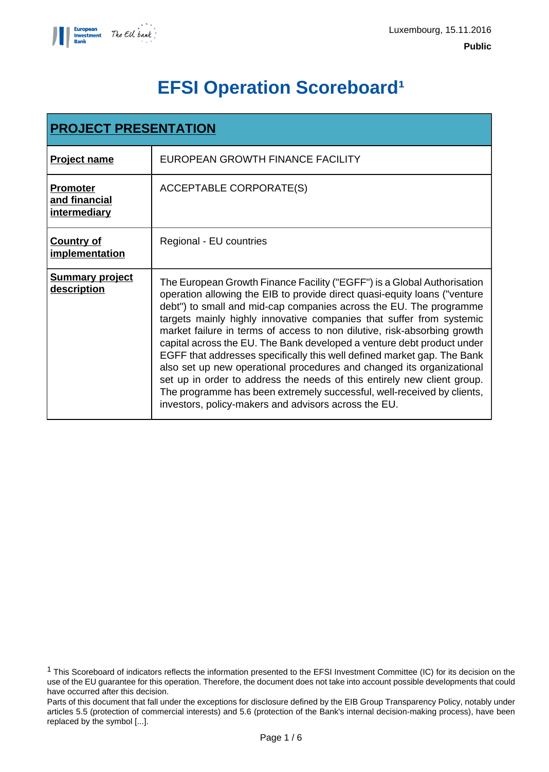

# **EFSI Operation Scoreboard<sup>1</sup>**

| <b>PROJECT PRESENTATION</b>                      |                                                                                                                                                                                                                                                                                                                                                                                                                                                                                                                                                                                                                                                                                                                                                                                                                           |  |  |
|--------------------------------------------------|---------------------------------------------------------------------------------------------------------------------------------------------------------------------------------------------------------------------------------------------------------------------------------------------------------------------------------------------------------------------------------------------------------------------------------------------------------------------------------------------------------------------------------------------------------------------------------------------------------------------------------------------------------------------------------------------------------------------------------------------------------------------------------------------------------------------------|--|--|
| <b>Project name</b>                              | EUROPEAN GROWTH FINANCE FACILITY                                                                                                                                                                                                                                                                                                                                                                                                                                                                                                                                                                                                                                                                                                                                                                                          |  |  |
| <b>Promoter</b><br>and financial<br>intermediary | <b>ACCEPTABLE CORPORATE(S)</b>                                                                                                                                                                                                                                                                                                                                                                                                                                                                                                                                                                                                                                                                                                                                                                                            |  |  |
| <b>Country of</b><br>implementation              | Regional - EU countries                                                                                                                                                                                                                                                                                                                                                                                                                                                                                                                                                                                                                                                                                                                                                                                                   |  |  |
| <b>Summary project</b><br>description            | The European Growth Finance Facility ("EGFF") is a Global Authorisation<br>operation allowing the EIB to provide direct quasi-equity loans ("venture<br>debt") to small and mid-cap companies across the EU. The programme<br>targets mainly highly innovative companies that suffer from systemic<br>market failure in terms of access to non dilutive, risk-absorbing growth<br>capital across the EU. The Bank developed a venture debt product under<br>EGFF that addresses specifically this well defined market gap. The Bank<br>also set up new operational procedures and changed its organizational<br>set up in order to address the needs of this entirely new client group.<br>The programme has been extremely successful, well-received by clients,<br>investors, policy-makers and advisors across the EU. |  |  |

<sup>1</sup> This Scoreboard of indicators reflects the information presented to the EFSI Investment Committee (IC) for its decision on the use of the EU guarantee for this operation. Therefore, the document does not take into account possible developments that could have occurred after this decision.

Parts of this document that fall under the exceptions for disclosure defined by the EIB Group Transparency Policy, notably under articles 5.5 (protection of commercial interests) and 5.6 (protection of the Bank's internal decision-making process), have been replaced by the symbol [...].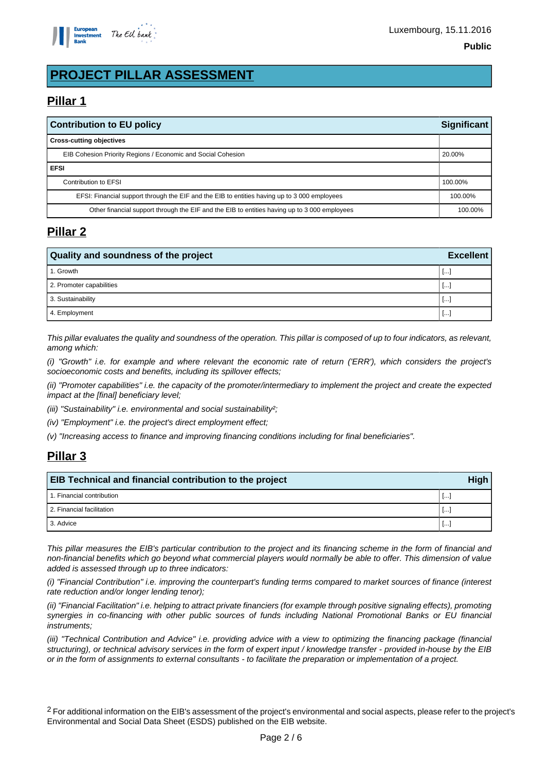

## **PROJECT PILLAR ASSESSMENT**

## **Pillar 1**

| <b>Contribution to EU policy</b>                                                             |         |
|----------------------------------------------------------------------------------------------|---------|
| <b>Cross-cutting objectives</b>                                                              |         |
| EIB Cohesion Priority Regions / Economic and Social Cohesion                                 | 20.00%  |
| <b>EFSI</b>                                                                                  |         |
| Contribution to EFSI                                                                         | 100.00% |
| EFSI: Financial support through the EIF and the EIB to entities having up to 3 000 employees | 100.00% |
| Other financial support through the EIF and the EIB to entities having up to 3000 employees  |         |

#### **Pillar 2**

| <b>Quality and soundness of the project</b> |        |  |
|---------------------------------------------|--------|--|
| 1. Growth                                   | ا سا ا |  |
| 2. Promoter capabilities                    | ا سا ا |  |
| 3. Sustainability                           | ا سا ا |  |
| 4. Employment                               | 1 l…i  |  |

This pillar evaluates the quality and soundness of the operation. This pillar is composed of up to four indicators, as relevant, among which:

(i) "Growth" i.e. for example and where relevant the economic rate of return ('ERR'), which considers the project's socioeconomic costs and benefits, including its spillover effects;

(ii) "Promoter capabilities" i.e. the capacity of the promoter/intermediary to implement the project and create the expected impact at the [final] beneficiary level;

(iii) "Sustainability" i.e. environmental and social sustainability?;

(iv) "Employment" i.e. the project's direct employment effect;

(v) "Increasing access to finance and improving financing conditions including for final beneficiaries".

## **Pillar 3**

| EIB Technical and financial contribution to the project |                          |  |
|---------------------------------------------------------|--------------------------|--|
| 1. Financial contribution                               | $\overline{\phantom{a}}$ |  |
| 2. Financial facilitation                               | Ŀ.                       |  |
| 3. Advice                                               | $\cdots$                 |  |

This pillar measures the EIB's particular contribution to the project and its financing scheme in the form of financial and non-financial benefits which go beyond what commercial players would normally be able to offer. This dimension of value added is assessed through up to three indicators:

(i) "Financial Contribution" i.e. improving the counterpart's funding terms compared to market sources of finance (interest rate reduction and/or longer lending tenor);

(ii) "Financial Facilitation" i.e. helping to attract private financiers (for example through positive signaling effects), promoting synergies in co-financing with other public sources of funds including National Promotional Banks or EU financial instruments;

(iii) "Technical Contribution and Advice" i.e. providing advice with a view to optimizing the financing package (financial structuring), or technical advisory services in the form of expert input / knowledge transfer - provided in-house by the EIB or in the form of assignments to external consultants - to facilitate the preparation or implementation of a project.

<sup>2</sup> For additional information on the EIB's assessment of the project's environmental and social aspects, please refer to the project's Environmental and Social Data Sheet (ESDS) published on the EIB website.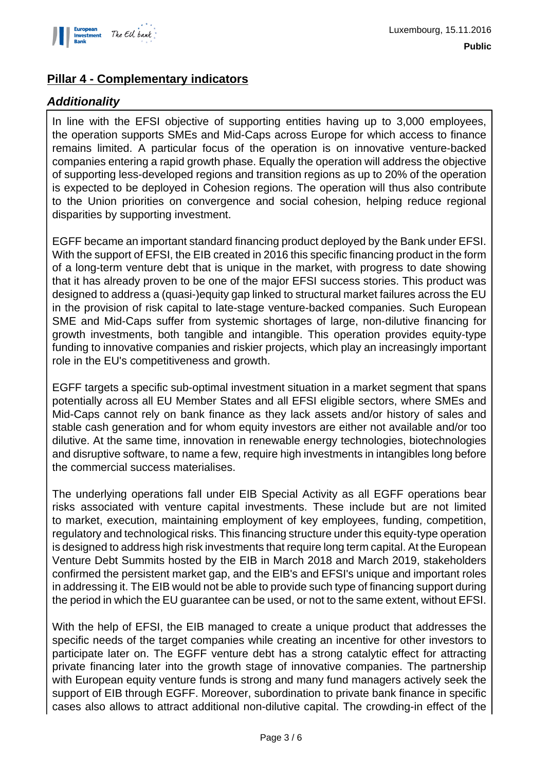

### **Pillar 4 - Complementary indicators**

#### **Additionality**

In line with the EFSI objective of supporting entities having up to 3,000 employees, the operation supports SMEs and Mid-Caps across Europe for which access to finance remains limited. A particular focus of the operation is on innovative venture-backed companies entering a rapid growth phase. Equally the operation will address the objective of supporting less-developed regions and transition regions as up to 20% of the operation is expected to be deployed in Cohesion regions. The operation will thus also contribute to the Union priorities on convergence and social cohesion, helping reduce regional disparities by supporting investment.

EGFF became an important standard financing product deployed by the Bank under EFSI. With the support of EFSI, the EIB created in 2016 this specific financing product in the form of a long-term venture debt that is unique in the market, with progress to date showing that it has already proven to be one of the major EFSI success stories. This product was designed to address a (quasi-)equity gap linked to structural market failures across the EU in the provision of risk capital to late-stage venture-backed companies. Such European SME and Mid-Caps suffer from systemic shortages of large, non-dilutive financing for growth investments, both tangible and intangible. This operation provides equity-type funding to innovative companies and riskier projects, which play an increasingly important role in the EU's competitiveness and growth.

EGFF targets a specific sub-optimal investment situation in a market segment that spans potentially across all EU Member States and all EFSI eligible sectors, where SMEs and Mid-Caps cannot rely on bank finance as they lack assets and/or history of sales and stable cash generation and for whom equity investors are either not available and/or too dilutive. At the same time, innovation in renewable energy technologies, biotechnologies and disruptive software, to name a few, require high investments in intangibles long before the commercial success materialises.

The underlying operations fall under EIB Special Activity as all EGFF operations bear risks associated with venture capital investments. These include but are not limited to market, execution, maintaining employment of key employees, funding, competition, regulatory and technological risks. This financing structure under this equity-type operation is designed to address high risk investments that require long term capital. At the European Venture Debt Summits hosted by the EIB in March 2018 and March 2019, stakeholders confirmed the persistent market gap, and the EIB's and EFSI's unique and important roles in addressing it. The EIB would not be able to provide such type of financing support during the period in which the EU guarantee can be used, or not to the same extent, without EFSI.

With the help of EFSI, the EIB managed to create a unique product that addresses the specific needs of the target companies while creating an incentive for other investors to participate later on. The EGFF venture debt has a strong catalytic effect for attracting private financing later into the growth stage of innovative companies. The partnership with European equity venture funds is strong and many fund managers actively seek the support of EIB through EGFF. Moreover, subordination to private bank finance in specific cases also allows to attract additional non-dilutive capital. The crowding-in effect of the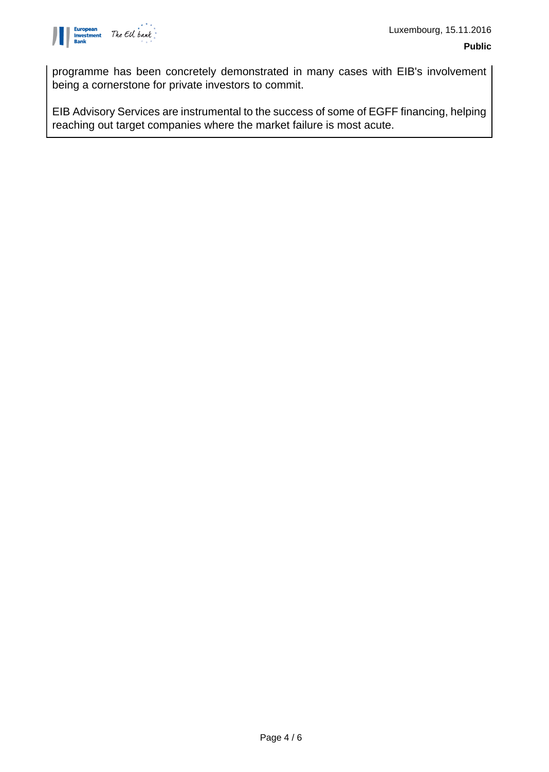

programme has been concretely demonstrated in many cases with EIB's involvement being a cornerstone for private investors to commit.

EIB Advisory Services are instrumental to the success of some of EGFF financing, helping reaching out target companies where the market failure is most acute.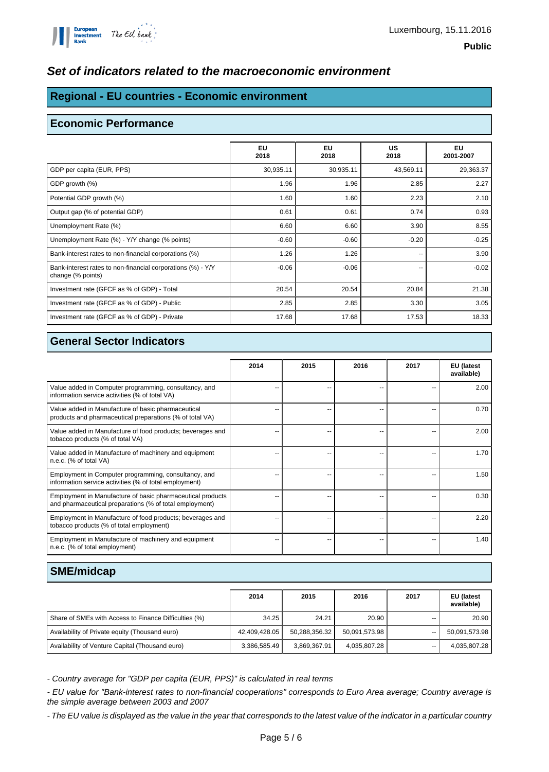

#### **Set of indicators related to the macroeconomic environment**

## **Regional - EU countries - Economic environment**

#### **Economic Performance**

|                                                                                  | EU<br>2018 | EU<br>2018 | <b>US</b><br>2018 | EU<br>2001-2007 |
|----------------------------------------------------------------------------------|------------|------------|-------------------|-----------------|
| GDP per capita (EUR, PPS)                                                        | 30,935.11  | 30,935.11  | 43,569.11         | 29,363.37       |
| GDP growth (%)                                                                   | 1.96       | 1.96       | 2.85              | 2.27            |
| Potential GDP growth (%)                                                         | 1.60       | 1.60       | 2.23              | 2.10            |
| Output gap (% of potential GDP)                                                  | 0.61       | 0.61       | 0.74              | 0.93            |
| Unemployment Rate (%)                                                            | 6.60       | 6.60       | 3.90              | 8.55            |
| Unemployment Rate (%) - Y/Y change (% points)                                    | $-0.60$    | $-0.60$    | $-0.20$           | $-0.25$         |
| Bank-interest rates to non-financial corporations (%)                            | 1.26       | 1.26       | --                | 3.90            |
| Bank-interest rates to non-financial corporations (%) - Y/Y<br>change (% points) | $-0.06$    | $-0.06$    | --                | $-0.02$         |
| Investment rate (GFCF as % of GDP) - Total                                       | 20.54      | 20.54      | 20.84             | 21.38           |
| Investment rate (GFCF as % of GDP) - Public                                      | 2.85       | 2.85       | 3.30              | 3.05            |
| Investment rate (GFCF as % of GDP) - Private                                     | 17.68      | 17.68      | 17.53             | 18.33           |

#### **General Sector Indicators**

|                                                                                                                       | 2014 | 2015 | 2016 | 2017 | EU (latest<br>available) |
|-----------------------------------------------------------------------------------------------------------------------|------|------|------|------|--------------------------|
| Value added in Computer programming, consultancy, and<br>information service activities (% of total VA)               |      |      |      |      | 2.00                     |
| Value added in Manufacture of basic pharmaceutical<br>products and pharmaceutical preparations (% of total VA)        |      |      |      |      | 0.70                     |
| Value added in Manufacture of food products; beverages and<br>tobacco products (% of total VA)                        | --   |      | --   |      | 2.00                     |
| Value added in Manufacture of machinery and equipment<br>n.e.c. (% of total VA)                                       | ٠.   |      | --   |      | 1.70                     |
| Employment in Computer programming, consultancy, and<br>information service activities (% of total employment)        | --   |      | --   |      | 1.50                     |
| Employment in Manufacture of basic pharmaceutical products<br>and pharmaceutical preparations (% of total employment) | --   |      | --   |      | 0.30                     |
| Employment in Manufacture of food products; beverages and<br>tobacco products (% of total employment)                 | --   |      | --   |      | 2.20                     |
| Employment in Manufacture of machinery and equipment<br>n.e.c. (% of total employment)                                |      |      | --   |      | 1.40                     |

#### **SME/midcap**

|                                                       | 2014          | 2015          | 2016          | 2017  | EU (latest<br>available) |
|-------------------------------------------------------|---------------|---------------|---------------|-------|--------------------------|
| Share of SMEs with Access to Finance Difficulties (%) | 34.25         | 24.21         | 20.90         |       | 20.90                    |
| Availability of Private equity (Thousand euro)        | 42,409,428.05 | 50,288,356.32 | 50.091.573.98 | $-$   | 50,091,573.98            |
| Availability of Venture Capital (Thousand euro)       | 3,386,585.49  | 3,869,367.91  | 4,035,807.28  | $- -$ | 4,035,807.28             |

- Country average for "GDP per capita (EUR, PPS)" is calculated in real terms

- EU value for "Bank-interest rates to non-financial cooperations" corresponds to Euro Area average; Country average is the simple average between 2003 and 2007

- The EU value is displayed as the value in the year that corresponds to the latest value of the indicator in a particular country